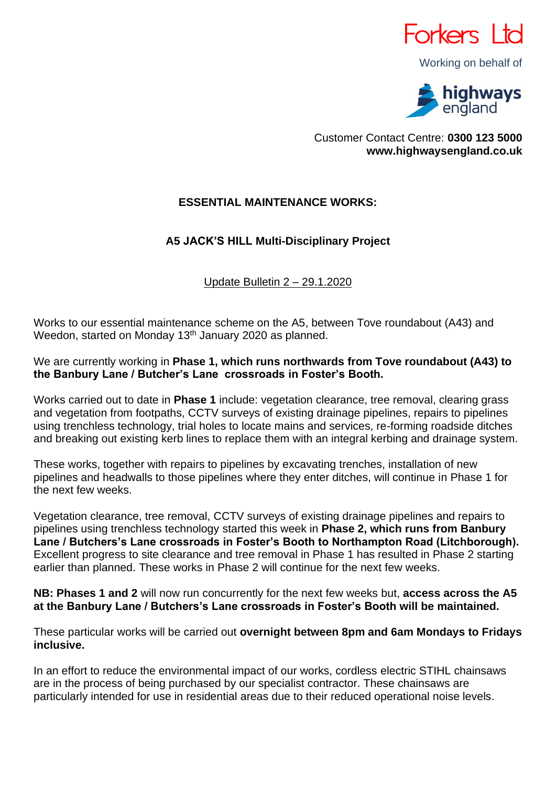

Working on behalf of



Customer Contact Centre: **0300 123 5000 www.highwaysengland.co.uk**

## **ESSENTIAL MAINTENANCE WORKS:**

## **A5 JACK'S HILL Multi-Disciplinary Project**

Update Bulletin 2 – 29.1.2020

Works to our essential maintenance scheme on the A5, between Tove roundabout (A43) and Weedon, started on Monday 13<sup>th</sup> January 2020 as planned.

We are currently working in **Phase 1, which runs northwards from Tove roundabout (A43) to the Banbury Lane / Butcher's Lane crossroads in Foster's Booth.**

Works carried out to date in **Phase 1** include: vegetation clearance, tree removal, clearing grass and vegetation from footpaths, CCTV surveys of existing drainage pipelines, repairs to pipelines using trenchless technology, trial holes to locate mains and services, re-forming roadside ditches and breaking out existing kerb lines to replace them with an integral kerbing and drainage system.

These works, together with repairs to pipelines by excavating trenches, installation of new pipelines and headwalls to those pipelines where they enter ditches, will continue in Phase 1 for the next few weeks.

Vegetation clearance, tree removal, CCTV surveys of existing drainage pipelines and repairs to pipelines using trenchless technology started this week in **Phase 2, which runs from Banbury Lane / Butchers's Lane crossroads in Foster's Booth to Northampton Road (Litchborough).**  Excellent progress to site clearance and tree removal in Phase 1 has resulted in Phase 2 starting earlier than planned. These works in Phase 2 will continue for the next few weeks.

**NB: Phases 1 and 2** will now run concurrently for the next few weeks but, **access across the A5 at the Banbury Lane / Butchers's Lane crossroads in Foster's Booth will be maintained.**

These particular works will be carried out **overnight between 8pm and 6am Mondays to Fridays inclusive.**

In an effort to reduce the environmental impact of our works, cordless electric STIHL chainsaws are in the process of being purchased by our specialist contractor. These chainsaws are particularly intended for use in residential areas due to their reduced operational noise levels.